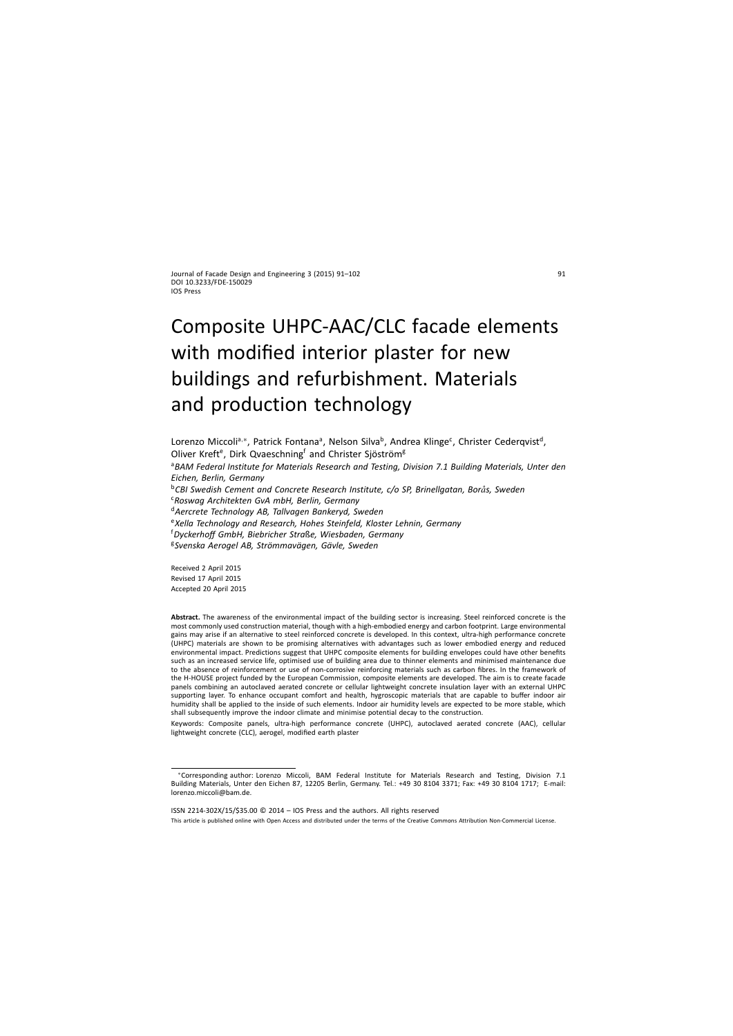Journal of Facade Design and Engineering 3 (2015) 91–102 DOI 10.3233/FDE-150029 IOS Press

# Composite UHPC-AAC/CLC facade elements with modified interior plaster for new buildings and refurbishment. Materials and production technology

Lorenzo Miccoli<sup>a,∗</sup>, Patrick Fontana<sup>a</sup>, Nelson Silva<sup>b</sup>, Andrea Klinge<sup>c</sup>, Christer Cederqvist<sup>d</sup>, Oliver Kreft<sup>e</sup>, Dirk Qvaeschning<sup>f</sup> and Christer Sjöström<sup>g</sup> <sup>a</sup>*BAM Federal Institute for Materials Research and Testing, Division 7.1 Building Materials, Unter den Eichen, Berlin, Germany* <sup>b</sup>CBI Swedish Cement and Concrete Research Institute, c/o SP, Brinellgatan, Borås, Sweden c *Roswag Architekten GvA mbH, Berlin, Germany* <sup>d</sup>*Aercrete Technology AB, Tallvagen Bankeryd, Sweden* <sup>e</sup>*Xella Technology and Research, Hohes Steinfeld, Kloster Lehnin, Germany* f *Dyckerhoff GmbH, Biebricher Stra*ß*e, Wiesbaden, Germany* <sup>g</sup>Svenska Aerogel AB, Strömmavägen, Gävle, Sweden Received 2 April 2015

Revised 17 April 2015 Accepted 20 April 2015

**Abstract.** The awareness of the environmental impact of the building sector is increasing. Steel reinforced concrete is the most commonly used construction material, though with a high-embodied energy and carbon footprint. Large environmental gains may arise if an alternative to steel reinforced concrete is developed. In this context, ultra-high performance concrete (UHPC) materials are shown to be promising alternatives with advantages such as lower embodied energy and reduced environmental impact. Predictions suggest that UHPC composite elements for building envelopes could have other benefits such as an increased service life, optimised use of building area due to thinner elements and minimised maintenance due to the absence of reinforcement or use of non-corrosive reinforcing materials such as carbon fibres. In the framework of the H-HOUSE project funded by the European Commission, composite elements are developed. The aim is to create facade panels combining an autoclaved aerated concrete or cellular lightweight concrete insulation layer with an external UHPC supporting layer. To enhance occupant comfort and health, hygroscopic materials that are capable to buffer indoor air humidity shall be applied to the inside of such elements. Indoor air humidity levels are expected to be more stable, which shall subsequently improve the indoor climate and minimise potential decay to the construction.

Keywords: Composite panels, ultra-high performance concrete (UHPC), autoclaved aerated concrete (AAC), cellular lightweight concrete (CLC), aerogel, modified earth plaster

ISSN 2214-302X/15/\$35.00 © 2014 – IOS Press and the authors. All rights reserved

This article is published online with Open Access and distributed under the terms of the Creative Commons Attribution Non-Commercial License.

<sup>∗</sup>Corresponding author: Lorenzo Miccoli, BAM Federal Institute for Materials Research and Testing, Division 7.1 Building Materials, Unter den Eichen 87, 12205 Berlin, Germany. Tel.: +49 30 8104 3371; Fax: +49 30 8104 1717; E-mail: [lorenzo.miccoli@bam.de](mailto:lorenzo.miccoli@bam.de).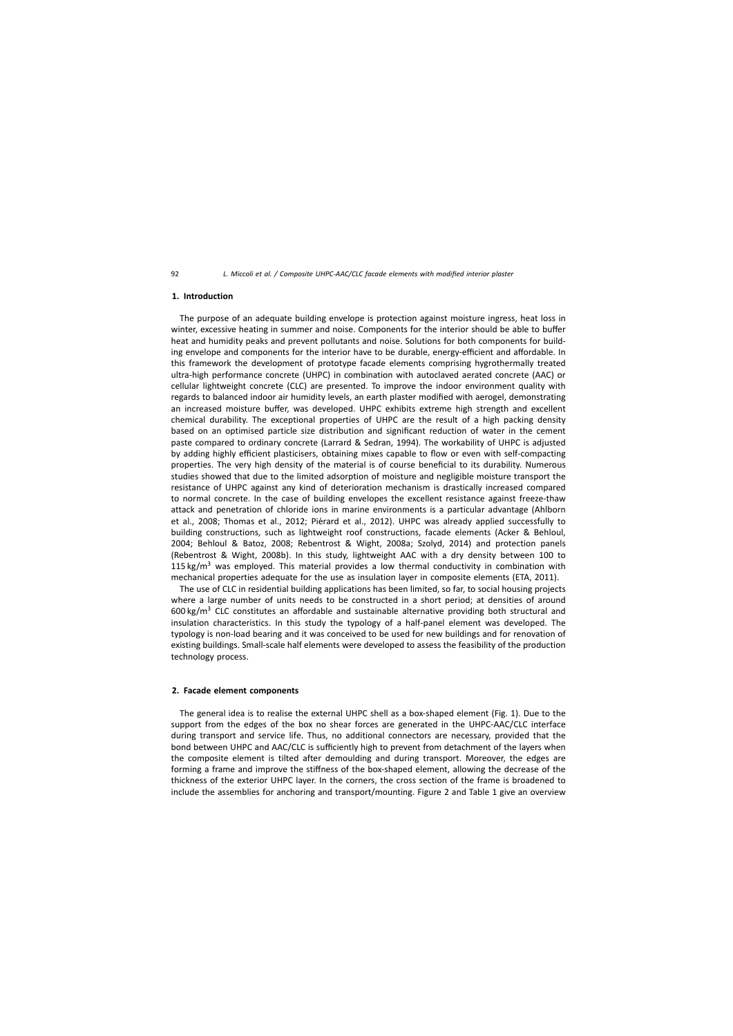## **1. Introduction**

The purpose of an adequate building envelope is protection against moisture ingress, heat loss in winter, excessive heating in summer and noise. Components for the interior should be able to buffer heat and humidity peaks and prevent pollutants and noise. Solutions for both components for building envelope and components for the interior have to be durable, energy-efficient and affordable. In this framework the development of prototype facade elements comprising hygrothermally treated ultra-high performance concrete (UHPC) in combination with autoclaved aerated concrete (AAC) or cellular lightweight concrete (CLC) are presented. To improve the indoor environment quality with regards to balanced indoor air humidity levels, an earth plaster modified with aerogel, demonstrating an increased moisture buffer, was developed. UHPC exhibits extreme high strength and excellent chemical durability. The exceptional properties of UHPC are the result of a high packing density based on an optimised particle size distribution and significant reduction of water in the cement paste compared to ordinary concrete (Larrard & Sedran, 1994). The workability of UHPC is adjusted by adding highly efficient plasticisers, obtaining mixes capable to flow or even with self-compacting properties. The very high density of the material is of course beneficial to its durability. Numerous studies showed that due to the limited adsorption of moisture and negligible moisture transport the resistance of UHPC against any kind of deterioration mechanism is drastically increased compared to normal concrete. In the case of building envelopes the excellent resistance against freeze-thaw attack and penetration of chloride ions in marine environments is a particular advantage (Ahlborn et al., 2008; Thomas et al., 2012; Piérard et al., 2012). UHPC was already applied successfully to building constructions, such as lightweight roof constructions, facade elements (Acker & Behloul, 2004; Behloul & Batoz, 2008; Rebentrost & Wight, 2008a; Szolyd, 2014) and protection panels (Rebentrost & Wight, 2008b). In this study, lightweight AAC with a dry density between 100 to 115 kg/ $m<sup>3</sup>$  was employed. This material provides a low thermal conductivity in combination with mechanical properties adequate for the use as insulation layer in composite elements (ETA, 2011).

The use of CLC in residential building applications has been limited, so far, to social housing projects where a large number of units needs to be constructed in a short period; at densities of around  $600 \text{ kg/m}^3$  CLC constitutes an affordable and sustainable alternative providing both structural and insulation characteristics. In this study the typology of a half-panel element was developed. The typology is non-load bearing and it was conceived to be used for new buildings and for renovation of existing buildings. Small-scale half elements were developed to assess the feasibility of the production technology process.

## **2. Facade element components**

The general idea is to realise the external UHPC shell as a box-shaped element (Fig. 1). Due to the support from the edges of the box no shear forces are generated in the UHPC-AAC/CLC interface during transport and service life. Thus, no additional connectors are necessary, provided that the bond between UHPC and AAC/CLC is sufficiently high to prevent from detachment of the layers when the composite element is tilted after demoulding and during transport. Moreover, the edges are forming a frame and improve the stiffness of the box-shaped element, allowing the decrease of the thickness of the exterior UHPC layer. In the corners, the cross section of the frame is broadened to include the assemblies for anchoring and transport/mounting. Figure 2 and Table 1 give an overview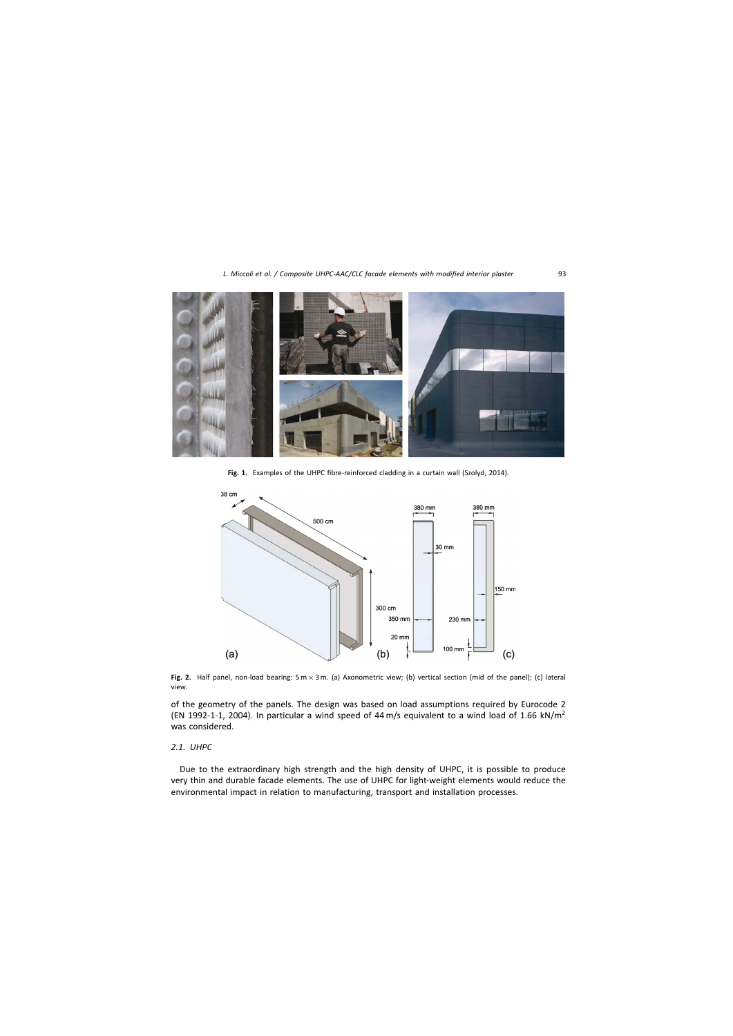*L. Miccoli et al. / Composite UHPC-AAC/CLC facade elements with modified interior plaster* 93



Fig. 1. Examples of the UHPC fibre-reinforced cladding in a curtain wall (Szolyd, 2014).



Fig. 2. Half panel, non-load bearing:  $5 \text{ m} \times 3 \text{ m}$ . (a) Axonometric view; (b) vertical section (mid of the panel); (c) lateral view.

of the geometry of the panels. The design was based on load assumptions required by Eurocode 2 (EN 1992-1-1, 2004). In particular a wind speed of 44 m/s equivalent to a wind load of 1.66 kN/m<sup>2</sup> was considered.

# *2.1. UHPC*

Due to the extraordinary high strength and the high density of UHPC, it is possible to produce very thin and durable facade elements. The use of UHPC for light-weight elements would reduce the environmental impact in relation to manufacturing, transport and installation processes.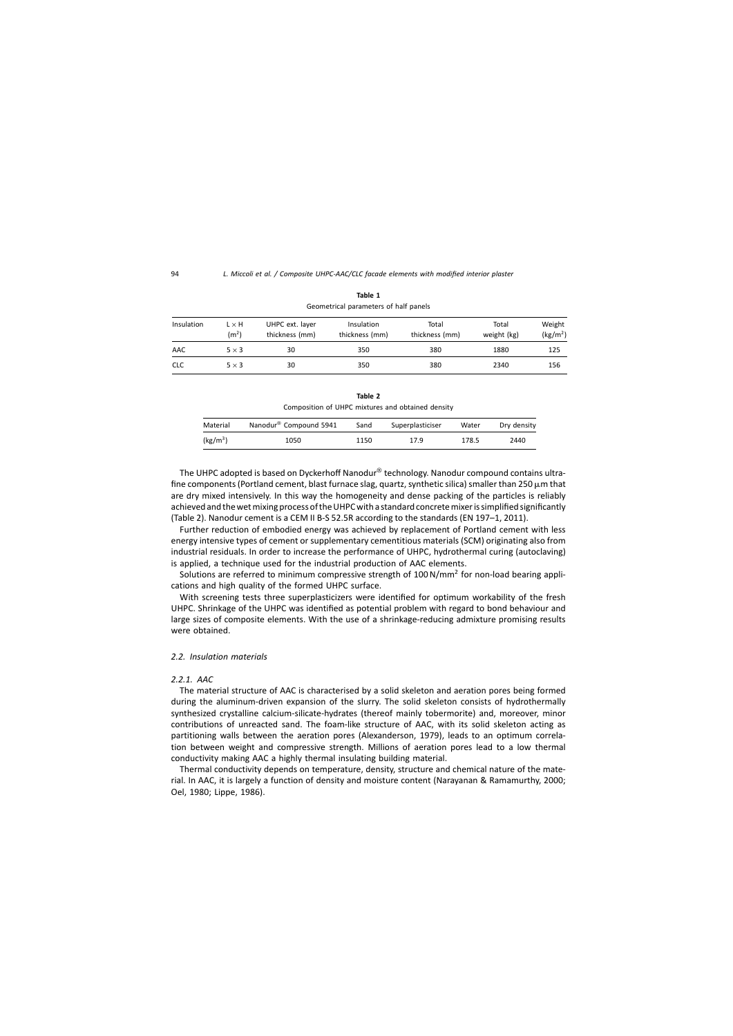|            | Geometrical parameters of half panels |                                   |                                     |                         |                      |                                |  |
|------------|---------------------------------------|-----------------------------------|-------------------------------------|-------------------------|----------------------|--------------------------------|--|
| Insulation | L × H<br>(m <sup>2</sup> )            | UHPC ext. layer<br>thickness (mm) | <b>Insulation</b><br>thickness (mm) | Total<br>thickness (mm) | Total<br>weight (kg) | Weight<br>(kg/m <sup>2</sup> ) |  |
| AAC        | $5 \times 3$                          | 30                                | 350                                 | 380                     | 1880                 | 125                            |  |
| <b>CLC</b> | $5 \times 3$                          | 30                                | 350                                 | 380                     | 2340                 | 156                            |  |

| Table 1                               |
|---------------------------------------|
| Geometrical parameters of half panels |

| Table 2<br>Composition of UHPC mixtures and obtained density |                                    |      |                  |       |             |  |
|--------------------------------------------------------------|------------------------------------|------|------------------|-------|-------------|--|
| Material                                                     | Nanodur <sup>®</sup> Compound 5941 | Sand | Superplasticiser | Water | Dry density |  |
| (kg/m <sup>3</sup> )                                         | 1050                               | 1150 | 17.9             | 178.5 | 2440        |  |

**Table 2**

The UHPC adopted is based on Dyckerhoff Nanodur® technology. Nanodur compound contains ultrafine components (Portland cement, blast furnace slag, quartz, synthetic silica) smaller than 250  $\mu$ m that are dry mixed intensively. In this way the homogeneity and dense packing of the particles is reliably achieved and the wet mixing process of the UHPC with a standard concrete mixer is simplified significantly (Table 2). Nanodur cement is a CEM II B-S 52.5R according to the standards (EN 197–1, 2011).

Further reduction of embodied energy was achieved by replacement of Portland cement with less energy intensive types of cement or supplementary cementitious materials (SCM) originating also from industrial residuals. In order to increase the performance of UHPC, hydrothermal curing (autoclaving) is applied, a technique used for the industrial production of AAC elements.

Solutions are referred to minimum compressive strength of  $100 \text{ N/mm}^2$  for non-load bearing applications and high quality of the formed UHPC surface.

With screening tests three superplasticizers were identified for optimum workability of the fresh UHPC. Shrinkage of the UHPC was identified as potential problem with regard to bond behaviour and large sizes of composite elements. With the use of a shrinkage-reducing admixture promising results were obtained.

# *2.2. Insulation materials*

## *2.2.1. AAC*

The material structure of AAC is characterised by a solid skeleton and aeration pores being formed during the aluminum-driven expansion of the slurry. The solid skeleton consists of hydrothermally synthesized crystalline calcium-silicate-hydrates (thereof mainly tobermorite) and, moreover, minor contributions of unreacted sand. The foam-like structure of AAC, with its solid skeleton acting as partitioning walls between the aeration pores (Alexanderson, 1979), leads to an optimum correlation between weight and compressive strength. Millions of aeration pores lead to a low thermal conductivity making AAC a highly thermal insulating building material.

Thermal conductivity depends on temperature, density, structure and chemical nature of the material. In AAC, it is largely a function of density and moisture content (Narayanan & Ramamurthy, 2000; Oel, 1980; Lippe, 1986).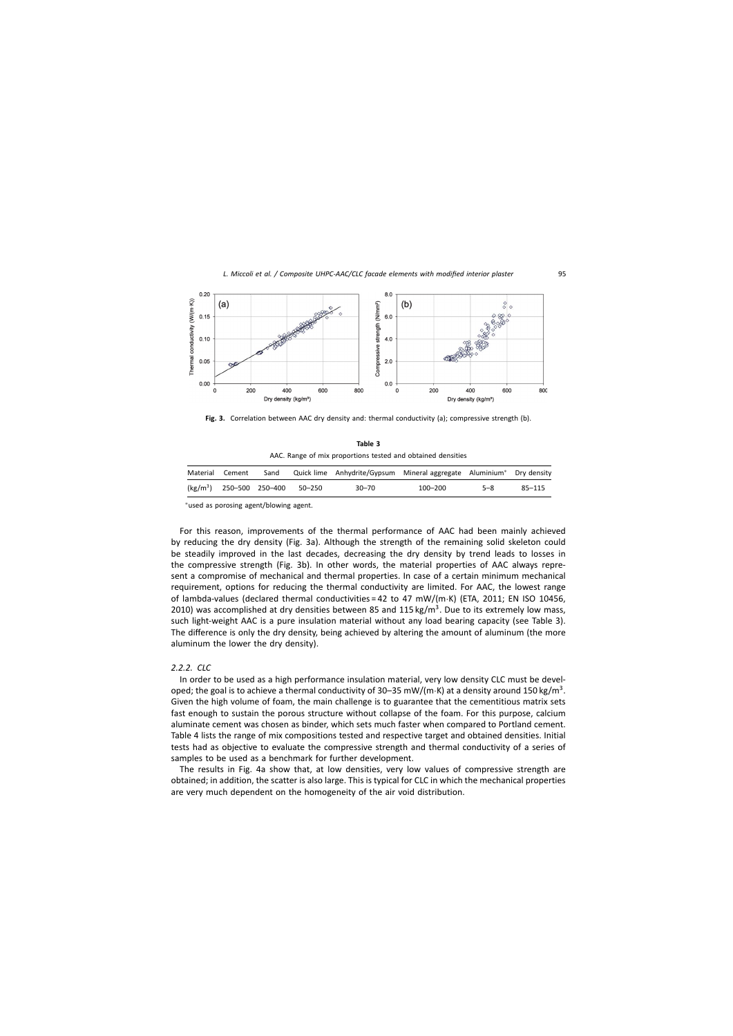

**Fig. 3.** Correlation between AAC dry density and: thermal conductivity (a); compressive strength (b).

**Table 3** AAC. Range of mix proportions tested and obtained densities

| Material Cement |  |                                  | Sand Quick lime Anhydrite/Gypsum Mineral aggregate Aluminium* Dry density |         |         |        |
|-----------------|--|----------------------------------|---------------------------------------------------------------------------|---------|---------|--------|
|                 |  | $(kg/m3)$ 250-500 250-400 50-250 | $30 - 70$                                                                 | 100-200 | $5 - 8$ | 85-115 |

<sup>∗</sup>used as porosing agent/blowing agent.

For this reason, improvements of the thermal performance of AAC had been mainly achieved by reducing the dry density (Fig. 3a). Although the strength of the remaining solid skeleton could be steadily improved in the last decades, decreasing the dry density by trend leads to losses in the compressive strength (Fig. 3b). In other words, the material properties of AAC always represent a compromise of mechanical and thermal properties. In case of a certain minimum mechanical requirement, options for reducing the thermal conductivity are limited. For AAC, the lowest range of lambda-values (declared thermal conductivities = 42 to 47 mW/(m·K) (ETA, 2011; EN ISO 10456, 2010) was accomplished at dry densities between 85 and 115 kg/ $m<sup>3</sup>$ . Due to its extremely low mass, such light-weight AAC is a pure insulation material without any load bearing capacity (see Table 3). The difference is only the dry density, being achieved by altering the amount of aluminum (the more aluminum the lower the dry density).

## *2.2.2. CLC*

In order to be used as a high performance insulation material, very low density CLC must be developed; the goal is to achieve a thermal conductivity of 30–35 mW/(m·K) at a density around 150 kg/m<sup>3</sup>. Given the high volume of foam, the main challenge is to guarantee that the cementitious matrix sets fast enough to sustain the porous structure without collapse of the foam. For this purpose, calcium aluminate cement was chosen as binder, which sets much faster when compared to Portland cement. Table 4 lists the range of mix compositions tested and respective target and obtained densities. Initial tests had as objective to evaluate the compressive strength and thermal conductivity of a series of samples to be used as a benchmark for further development.

The results in Fig. 4a show that, at low densities, very low values of compressive strength are obtained; in addition, the scatter is also large. This is typical for CLC in which the mechanical properties are very much dependent on the homogeneity of the air void distribution.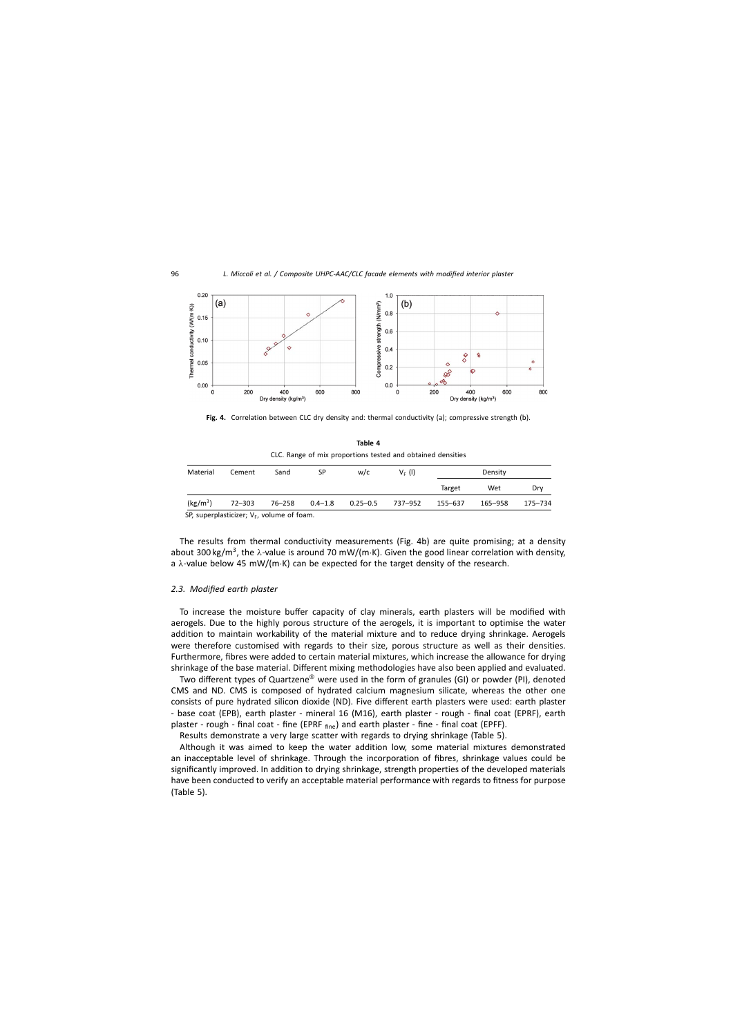

**Fig. 4.** Correlation between CLC dry density and: thermal conductivity (a); compressive strength (b).

**Table 4**

| CLC. Range of mix proportions tested and obtained densities |                                                    |        |           |              |           |         |         |         |
|-------------------------------------------------------------|----------------------------------------------------|--------|-----------|--------------|-----------|---------|---------|---------|
| Material                                                    | Cement                                             | Sand   | <b>SP</b> | w/c          | $V_F$ (I) |         | Density |         |
|                                                             |                                                    |        |           |              |           | Target  | Wet     | Drv     |
| (kg/m <sup>3</sup> )                                        | 72–303                                             | 76–258 | 0.4–1.8   | $0.25 - 0.5$ | 737–952   | 155–637 | 165-958 | 175–734 |
|                                                             | SP sunernlasticizer: V <sub>5</sub> volume of foam |        |           |              |           |         |         |         |

sticizer; V $_{\rm F}$ , volume of foam.

The results from thermal conductivity measurements (Fig. 4b) are quite promising; at a density about 300 kg/m<sup>3</sup>, the  $\lambda$ -value is around 70 mW/(m·K). Given the good linear correlation with density, a  $\lambda$ -value below 45 mW/(m·K) can be expected for the target density of the research.

## *2.3. Modified earth plaster*

To increase the moisture buffer capacity of clay minerals, earth plasters will be modified with aerogels. Due to the highly porous structure of the aerogels, it is important to optimise the water addition to maintain workability of the material mixture and to reduce drying shrinkage. Aerogels were therefore customised with regards to their size, porous structure as well as their densities. Furthermore, fibres were added to certain material mixtures, which increase the allowance for drying shrinkage of the base material. Different mixing methodologies have also been applied and evaluated.

Two different types of Quartzene® were used in the form of granules (GI) or powder (PI), denoted CMS and ND. CMS is composed of hydrated calcium magnesium silicate, whereas the other one consists of pure hydrated silicon dioxide (ND). Five different earth plasters were used: earth plaster - base coat (EPB), earth plaster - mineral 16 (M16), earth plaster - rough - final coat (EPRF), earth plaster - rough - final coat - fine (EPRF fine) and earth plaster - fine - final coat (EPFF).

Results demonstrate a very large scatter with regards to drying shrinkage (Table 5).

Although it was aimed to keep the water addition low, some material mixtures demonstrated an inacceptable level of shrinkage. Through the incorporation of fibres, shrinkage values could be significantly improved. In addition to drying shrinkage, strength properties of the developed materials have been conducted to verify an acceptable material performance with regards to fitness for purpose (Table 5).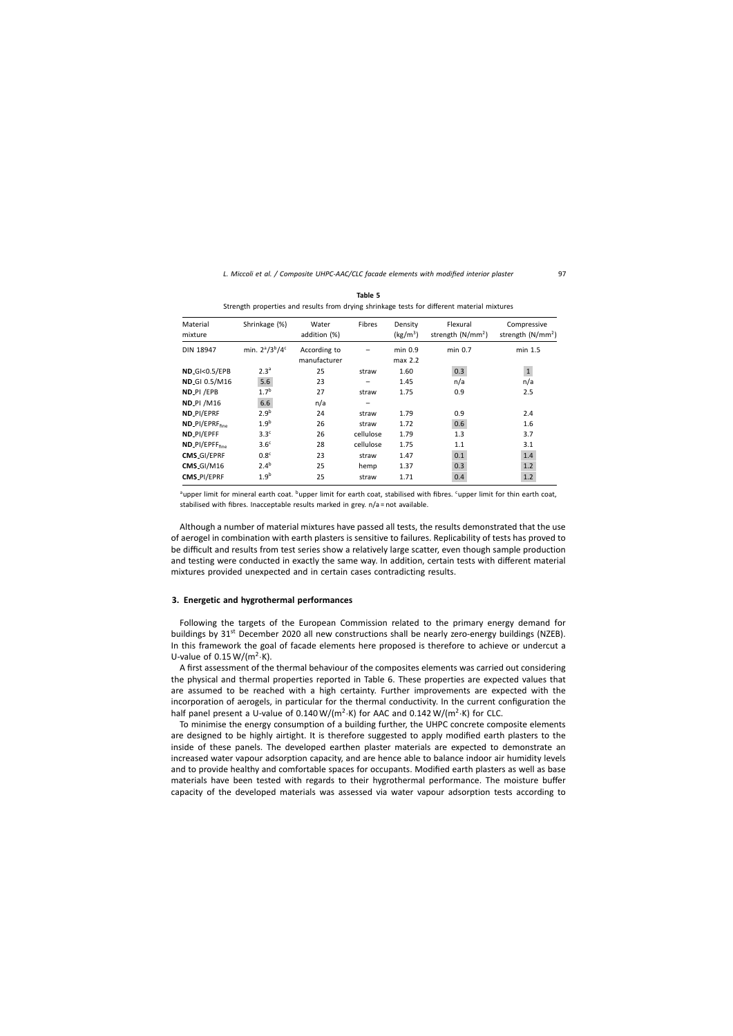| Material<br>mixture            | Shrinkage (%)      | Water<br>addition (%)        | <b>Fibres</b> | Density<br>(kg/m <sup>3</sup> ) | Flexural<br>strength $(N/mm2)$ | Compressive<br>strength $(N/mm2)$ |
|--------------------------------|--------------------|------------------------------|---------------|---------------------------------|--------------------------------|-----------------------------------|
| <b>DIN 18947</b>               | min. $2^a/3^b/4^c$ | According to<br>manufacturer |               | min 0.9<br>max 2.2              | min 0.7                        | min 1.5                           |
| $ND_G$ $< 0.5$ /EPB            | 2.3 <sup>a</sup>   | 25                           | straw         | 1.60                            | 0.3                            | $\mathbf{1}$                      |
| <b>ND_GI 0.5/M16</b>           | 5.6                | 23                           |               | 1.45                            | n/a                            | n/a                               |
| ND_PI /EPB                     | 1.7 <sup>b</sup>   | 27                           | straw         | 1.75                            | 0.9                            | 2.5                               |
| <b>ND_PI /M16</b>              | 6.6                | n/a                          |               |                                 |                                |                                   |
| ND_PI/EPRF                     | 2.9 <sup>b</sup>   | 24                           | straw         | 1.79                            | 0.9                            | 2.4                               |
| $ND$ -PI/EPRF $_{\text{fine}}$ | 1.9 <sup>b</sup>   | 26                           | straw         | 1.72                            | 0.6                            | 1.6                               |
| ND_PI/EPFF                     | 3.3 <sup>c</sup>   | 26                           | cellulose     | 1.79                            | 1.3                            | 3.7                               |
| $ND$ -PI/EPFF $_{\text{fine}}$ | 3.6 <sup>c</sup>   | 28                           | cellulose     | 1.75                            | 1.1                            | 3.1                               |
| <b>CMS_GI/EPRF</b>             | 0.8 <sup>c</sup>   | 23                           | straw         | 1.47                            | 0.1                            | 1.4                               |
| $CMS_G$ I/M16                  | $2.4^{b}$          | 25                           | hemp          | 1.37                            | 0.3                            | 1.2                               |
| CMS_PI/EPRF                    | 1.9 <sup>b</sup>   | 25                           | straw         | 1.71                            | 0.4                            | 1.2                               |

| Table 5                                                                                     |  |
|---------------------------------------------------------------------------------------------|--|
| Strength properties and results from drying shrinkage tests for different material mixtures |  |

aupper limit for mineral earth coat. <sup>b</sup>upper limit for earth coat, stabilised with fibres. <sup>c</sup>upper limit for thin earth coat, stabilised with fibres. Inacceptable results marked in grey. n/a = not available.

Although a number of material mixtures have passed all tests, the results demonstrated that the use of aerogel in combination with earth plasters is sensitive to failures. Replicability of tests has proved to be difficult and results from test series show a relatively large scatter, even though sample production and testing were conducted in exactly the same way. In addition, certain tests with different material mixtures provided unexpected and in certain cases contradicting results.

# **3. Energetic and hygrothermal performances**

Following the targets of the European Commission related to the primary energy demand for buildings by  $31^{st}$  December 2020 all new constructions shall be nearly zero-energy buildings (NZEB). In this framework the goal of facade elements here proposed is therefore to achieve or undercut a U-value of 0.15 W/( $m^2$ ·K).

A first assessment of the thermal behaviour of the composites elements was carried out considering the physical and thermal properties reported in Table 6. These properties are expected values that are assumed to be reached with a high certainty. Further improvements are expected with the incorporation of aerogels, in particular for the thermal conductivity. In the current configuration the half panel present a U-value of 0.140 W/( $m^2$ ·K) for AAC and 0.142 W/( $m^2$ ·K) for CLC.

To minimise the energy consumption of a building further, the UHPC concrete composite elements are designed to be highly airtight. It is therefore suggested to apply modified earth plasters to the inside of these panels. The developed earthen plaster materials are expected to demonstrate an increased water vapour adsorption capacity, and are hence able to balance indoor air humidity levels and to provide healthy and comfortable spaces for occupants. Modified earth plasters as well as base materials have been tested with regards to their hygrothermal performance. The moisture buffer capacity of the developed materials was assessed via water vapour adsorption tests according to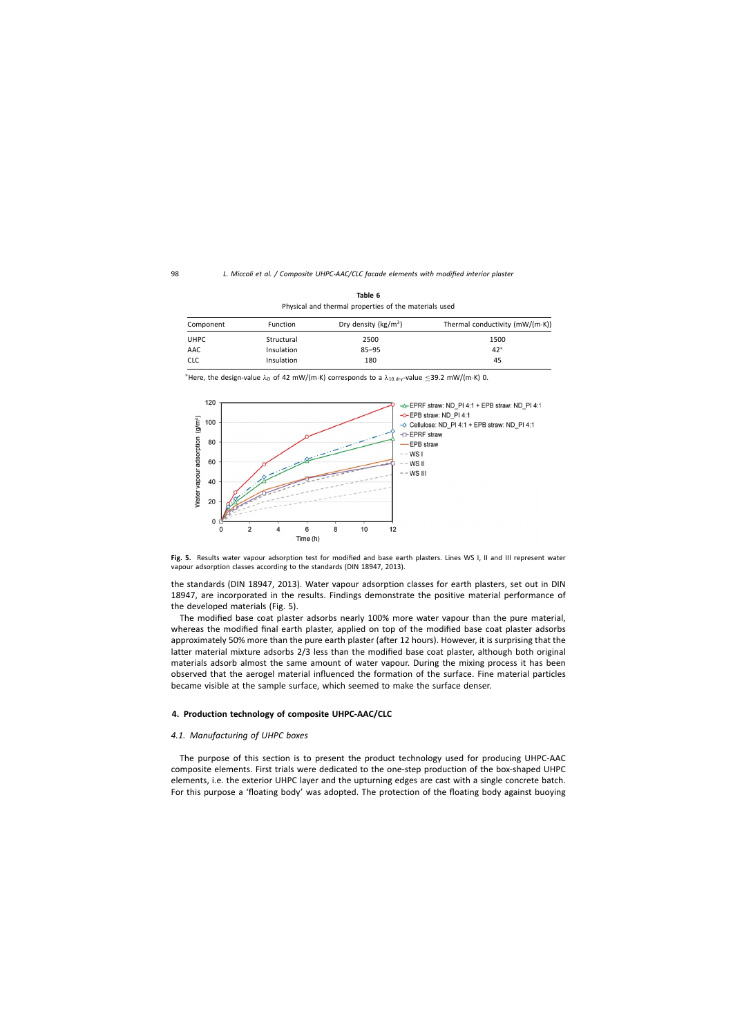| Physical and thermal properties of the materials used |                   |                          |                                         |  |  |
|-------------------------------------------------------|-------------------|--------------------------|-----------------------------------------|--|--|
| Component                                             | <b>Function</b>   | Dry density ( $kg/m^3$ ) | Thermal conductivity $(mW/(m \cdot K))$ |  |  |
| <b>UHPC</b>                                           | Structural        | 2500                     | 1500                                    |  |  |
| AAC                                                   | <b>Insulation</b> | $85 - 95$                | $42*$                                   |  |  |
| <b>CLC</b>                                            | <b>Insulation</b> | 180                      | 45                                      |  |  |

**Table 6** Physical and thermal properties of the materials used

\*Here, the design-value  $\lambda_D$  of 42 mW/(m·K) corresponds to a  $\lambda_{10\text{.div}}$ -value  $\leq$ 39.2 mW/(m·K) 0.



Fig. 5. Results water vapour adsorption test for modified and base earth plasters. Lines WS I, II and III represent water vapour adsorption classes according to the standards (DIN 18947, 2013).

the standards (DIN 18947, 2013). Water vapour adsorption classes for earth plasters, set out in DIN 18947, are incorporated in the results. Findings demonstrate the positive material performance of the developed materials (Fig. 5).

The modified base coat plaster adsorbs nearly 100% more water vapour than the pure material, whereas the modified final earth plaster, applied on top of the modified base coat plaster adsorbs approximately 50% more than the pure earth plaster (after 12 hours). However, it is surprising that the latter material mixture adsorbs 2/3 less than the modified base coat plaster, although both original materials adsorb almost the same amount of water vapour. During the mixing process it has been observed that the aerogel material influenced the formation of the surface. Fine material particles became visible at the sample surface, which seemed to make the surface denser.

# **4. Production technology of composite UHPC-AAC/CLC**

#### *4.1. Manufacturing of UHPC boxes*

The purpose of this section is to present the product technology used for producing UHPC-AAC composite elements. First trials were dedicated to the one-step production of the box-shaped UHPC elements, i.e. the exterior UHPC layer and the upturning edges are cast with a single concrete batch. For this purpose a 'floating body' was adopted. The protection of the floating body against buoying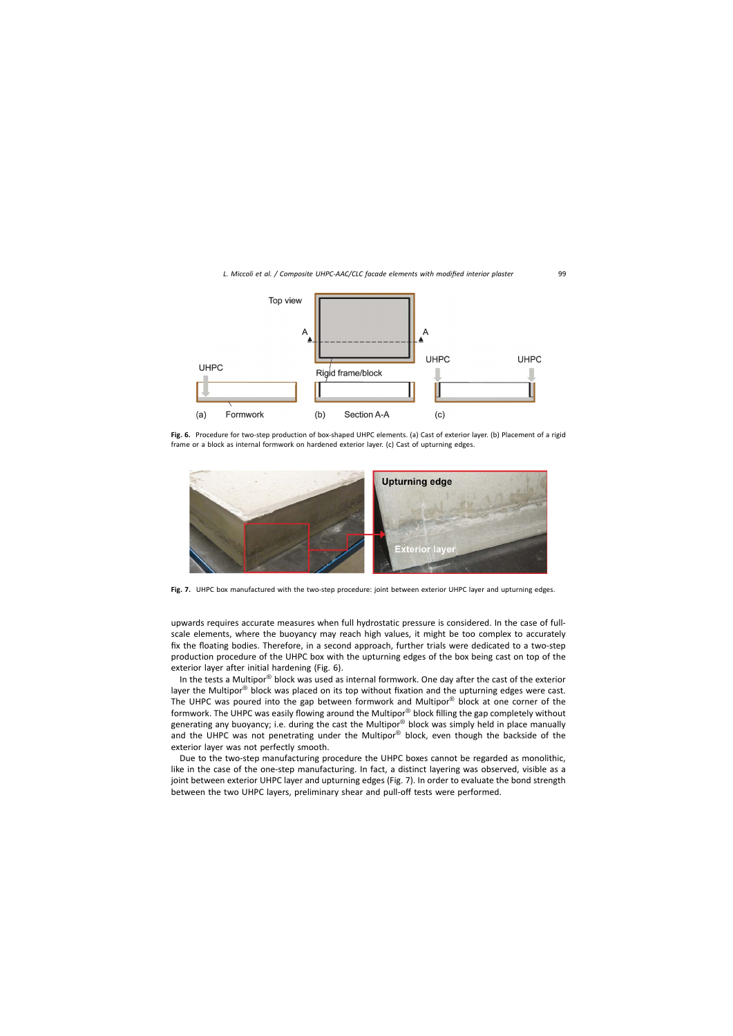

**Fig. 6.** Procedure for two-step production of box-shaped UHPC elements. (a) Cast of exterior layer. (b) Placement of a rigid frame or a block as internal formwork on hardened exterior layer. (c) Cast of upturning edges.



**Fig. 7.** UHPC box manufactured with the two-step procedure: joint between exterior UHPC layer and upturning edges.

upwards requires accurate measures when full hydrostatic pressure is considered. In the case of fullscale elements, where the buoyancy may reach high values, it might be too complex to accurately fix the floating bodies. Therefore, in a second approach, further trials were dedicated to a two-step production procedure of the UHPC box with the upturning edges of the box being cast on top of the exterior layer after initial hardening (Fig. 6).

In the tests a Multipor® block was used as internal formwork. One day after the cast of the exterior layer the Multipor® block was placed on its top without fixation and the upturning edges were cast. The UHPC was poured into the gap between formwork and Multipor® block at one corner of the formwork. The UHPC was easily flowing around the Multipor® block filling the gap completely without generating any buoyancy; i.e. during the cast the Multipor® block was simply held in place manually and the UHPC was not penetrating under the Multipor® block, even though the backside of the exterior layer was not perfectly smooth.

Due to the two-step manufacturing procedure the UHPC boxes cannot be regarded as monolithic, like in the case of the one-step manufacturing. In fact, a distinct layering was observed, visible as a joint between exterior UHPC layer and upturning edges (Fig. 7). In order to evaluate the bond strength between the two UHPC layers, preliminary shear and pull-off tests were performed.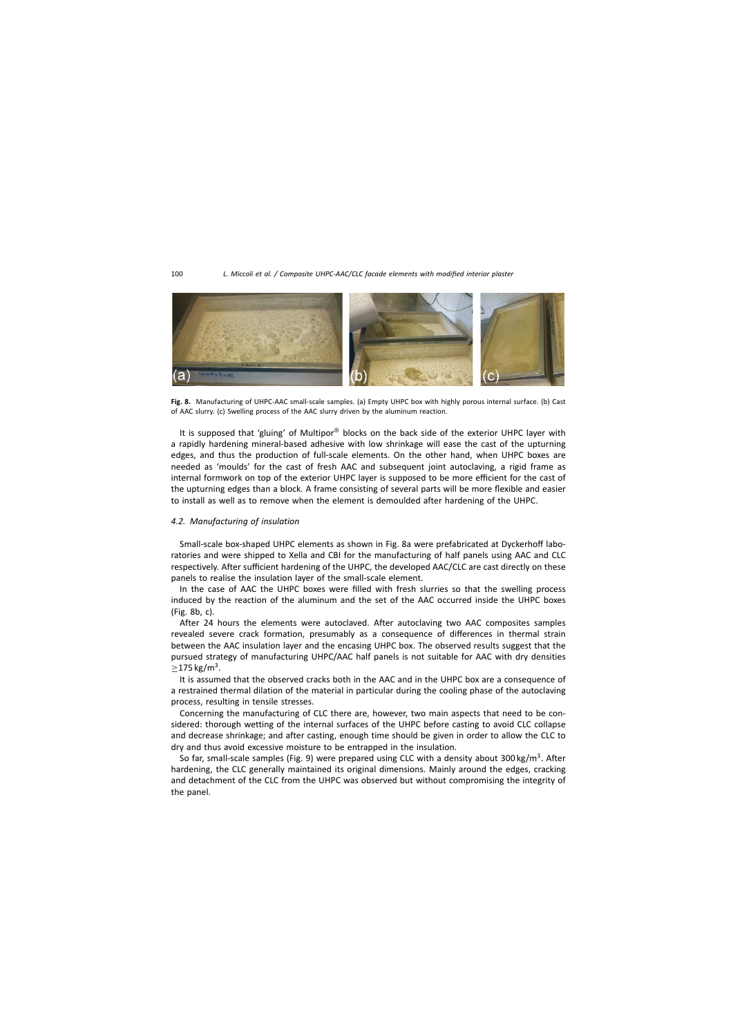

**Fig. 8.** Manufacturing of UHPC-AAC small-scale samples. (a) Empty UHPC box with highly porous internal surface. (b) Cast of AAC slurry. (c) Swelling process of the AAC slurry driven by the aluminum reaction.

It is supposed that 'gluing' of Multipor<sup>®</sup> blocks on the back side of the exterior UHPC layer with a rapidly hardening mineral-based adhesive with low shrinkage will ease the cast of the upturning edges, and thus the production of full-scale elements. On the other hand, when UHPC boxes are needed as 'moulds' for the cast of fresh AAC and subsequent joint autoclaving, a rigid frame as internal formwork on top of the exterior UHPC layer is supposed to be more efficient for the cast of the upturning edges than a block. A frame consisting of several parts will be more flexible and easier to install as well as to remove when the element is demoulded after hardening of the UHPC.

## *4.2. Manufacturing of insulation*

Small-scale box-shaped UHPC elements as shown in Fig. 8a were prefabricated at Dyckerhoff laboratories and were shipped to Xella and CBI for the manufacturing of half panels using AAC and CLC respectively. After sufficient hardening of the UHPC, the developed AAC/CLC are cast directly on these panels to realise the insulation layer of the small-scale element.

In the case of AAC the UHPC boxes were filled with fresh slurries so that the swelling process induced by the reaction of the aluminum and the set of the AAC occurred inside the UHPC boxes (Fig. 8b, c).

After 24 hours the elements were autoclaved. After autoclaving two AAC composites samples revealed severe crack formation, presumably as a consequence of differences in thermal strain between the AAC insulation layer and the encasing UHPC box. The observed results suggest that the pursued strategy of manufacturing UHPC/AAC half panels is not suitable for AAC with dry densities  $>$ 175 kg/m<sup>3</sup>.

It is assumed that the observed cracks both in the AAC and in the UHPC box are a consequence of a restrained thermal dilation of the material in particular during the cooling phase of the autoclaving process, resulting in tensile stresses.

Concerning the manufacturing of CLC there are, however, two main aspects that need to be considered: thorough wetting of the internal surfaces of the UHPC before casting to avoid CLC collapse and decrease shrinkage; and after casting, enough time should be given in order to allow the CLC to dry and thus avoid excessive moisture to be entrapped in the insulation.

So far, small-scale samples (Fig. 9) were prepared using CLC with a density about 300 kg/m<sup>3</sup>. After hardening, the CLC generally maintained its original dimensions. Mainly around the edges, cracking and detachment of the CLC from the UHPC was observed but without compromising the integrity of the panel.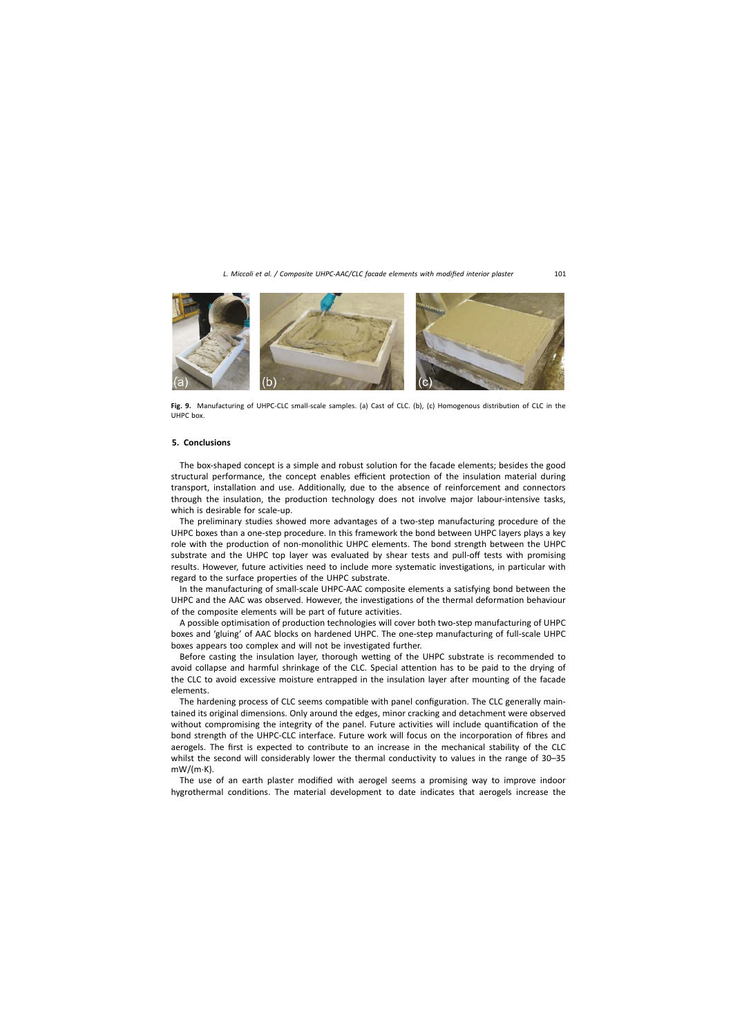*L. Miccoli et al. / Composite UHPC-AAC/CLC facade elements with modified interior plaster* 101



**Fig. 9.** Manufacturing of UHPC-CLC small-scale samples. (a) Cast of CLC. (b), (c) Homogenous distribution of CLC in the UHPC box.

## **5. Conclusions**

The box-shaped concept is a simple and robust solution for the facade elements; besides the good structural performance, the concept enables efficient protection of the insulation material during transport, installation and use. Additionally, due to the absence of reinforcement and connectors through the insulation, the production technology does not involve major labour-intensive tasks, which is desirable for scale-up.

The preliminary studies showed more advantages of a two-step manufacturing procedure of the UHPC boxes than a one-step procedure. In this framework the bond between UHPC layers plays a key role with the production of non-monolithic UHPC elements. The bond strength between the UHPC substrate and the UHPC top layer was evaluated by shear tests and pull-off tests with promising results. However, future activities need to include more systematic investigations, in particular with regard to the surface properties of the UHPC substrate.

In the manufacturing of small-scale UHPC-AAC composite elements a satisfying bond between the UHPC and the AAC was observed. However, the investigations of the thermal deformation behaviour of the composite elements will be part of future activities.

A possible optimisation of production technologies will cover both two-step manufacturing of UHPC boxes and 'gluing' of AAC blocks on hardened UHPC. The one-step manufacturing of full-scale UHPC boxes appears too complex and will not be investigated further.

Before casting the insulation layer, thorough wetting of the UHPC substrate is recommended to avoid collapse and harmful shrinkage of the CLC. Special attention has to be paid to the drying of the CLC to avoid excessive moisture entrapped in the insulation layer after mounting of the facade elements.

The hardening process of CLC seems compatible with panel configuration. The CLC generally maintained its original dimensions. Only around the edges, minor cracking and detachment were observed without compromising the integrity of the panel. Future activities will include quantification of the bond strength of the UHPC-CLC interface. Future work will focus on the incorporation of fibres and aerogels. The first is expected to contribute to an increase in the mechanical stability of the CLC whilst the second will considerably lower the thermal conductivity to values in the range of 30–35  $mW/(m \cdot K)$ .

The use of an earth plaster modified with aerogel seems a promising way to improve indoor hygrothermal conditions. The material development to date indicates that aerogels increase the